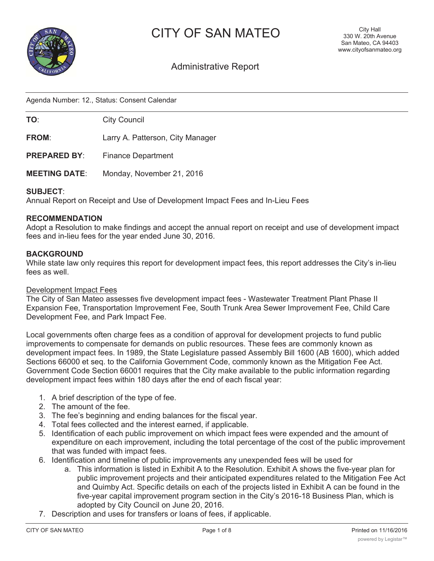



# Administrative Report

Agenda Number: 12., Status: Consent Calendar

**TO:** City Council

**FROM**: Larry A. Patterson, City Manager

**PREPARED BY:** Finance Department

**MEETING DATE**: Monday, November 21, 2016

#### **SUBJECT**:

Annual Report on Receipt and Use of Development Impact Fees and In-Lieu Fees

### **RECOMMENDATION**

Adopt a Resolution to make findings and accept the annual report on receipt and use of development impact fees and in-lieu fees for the year ended June 30, 2016.

#### **BACKGROUND**

While state law only requires this report for development impact fees, this report addresses the City's in-lieu fees as well.

#### Development Impact Fees

The City of San Mateo assesses five development impact fees - Wastewater Treatment Plant Phase II Expansion Fee, Transportation Improvement Fee, South Trunk Area Sewer Improvement Fee, Child Care Development Fee, and Park Impact Fee.

Local governments often charge fees as a condition of approval for development projects to fund public improvements to compensate for demands on public resources. These fees are commonly known as development impact fees. In 1989, the State Legislature passed Assembly Bill 1600 (AB 1600), which added Sections 66000 et seq. to the California Government Code, commonly known as the Mitigation Fee Act. Government Code Section 66001 requires that the City make available to the public information regarding development impact fees within 180 days after the end of each fiscal year:

- 1. A brief description of the type of fee.
- 2. The amount of the fee.
- 3. The fee's beginning and ending balances for the fiscal year.
- 4. Total fees collected and the interest earned, if applicable.
- 5. Identification of each public improvement on which impact fees were expended and the amount of expenditure on each improvement, including the total percentage of the cost of the public improvement that was funded with impact fees.
- 6. Identification and timeline of public improvements any unexpended fees will be used for
	- a. This information is listed in Exhibit A to the Resolution. Exhibit A shows the five-year plan for public improvement projects and their anticipated expenditures related to the Mitigation Fee Act and Quimby Act. Specific details on each of the projects listed in Exhibit A can be found in the five-year capital improvement program section in the City's 2016-18 Business Plan, which is adopted by City Council on June 20, 2016.
- 7. Description and uses for transfers or loans of fees, if applicable.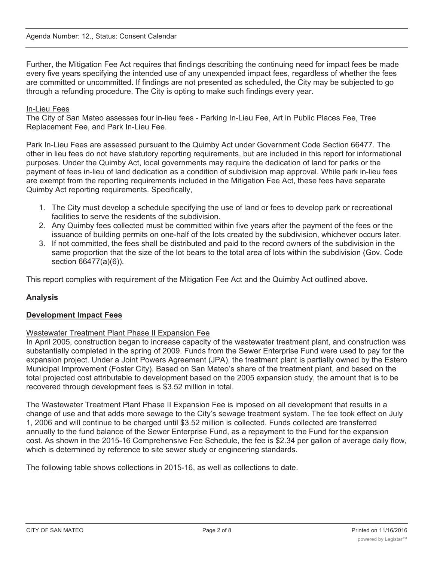Further, the Mitigation Fee Act requires that findings describing the continuing need for impact fees be made every five years specifying the intended use of any unexpended impact fees, regardless of whether the fees are committed or uncommitted. If findings are not presented as scheduled, the City may be subjected to go through a refunding procedure. The City is opting to make such findings every year.

# In-Lieu Fees

The City of San Mateo assesses four in-lieu fees - Parking In-Lieu Fee, Art in Public Places Fee, Tree Replacement Fee, and Park In-Lieu Fee.

Park In-Lieu Fees are assessed pursuant to the Quimby Act under Government Code Section 66477. The other in lieu fees do not have statutory reporting requirements, but are included in this report for informational purposes. Under the Quimby Act, local governments may require the dedication of land for parks or the payment of fees in-lieu of land dedication as a condition of subdivision map approval. While park in-lieu fees are exempt from the reporting requirements included in the Mitigation Fee Act, these fees have separate Quimby Act reporting requirements. Specifically,

- 1. The City must develop a schedule specifying the use of land or fees to develop park or recreational facilities to serve the residents of the subdivision.
- 2. Any Quimby fees collected must be committed within five years after the payment of the fees or the issuance of building permits on one-half of the lots created by the subdivision, whichever occurs later.
- 3. If not committed, the fees shall be distributed and paid to the record owners of the subdivision in the same proportion that the size of the lot bears to the total area of lots within the subdivision (Gov. Code section 66477(a)(6)).

This report complies with requirement of the Mitigation Fee Act and the Quimby Act outlined above.

# **Analysis**

### **Development Impact Fees**

### Wastewater Treatment Plant Phase II Expansion Fee

In April 2005, construction began to increase capacity of the wastewater treatment plant, and construction was substantially completed in the spring of 2009. Funds from the Sewer Enterprise Fund were used to pay for the expansion project. Under a Joint Powers Agreement (JPA), the treatment plant is partially owned by the Estero Municipal Improvement (Foster City). Based on San Mateo's share of the treatment plant, and based on the total projected cost attributable to development based on the 2005 expansion study, the amount that is to be recovered through development fees is \$3.52 million in total.

The Wastewater Treatment Plant Phase II Expansion Fee is imposed on all development that results in a change of use and that adds more sewage to the City's sewage treatment system. The fee took effect on July 1, 2006 and will continue to be charged until \$3.52 million is collected. Funds collected are transferred annually to the fund balance of the Sewer Enterprise Fund, as a repayment to the Fund for the expansion cost. As shown in the 2015-16 Comprehensive Fee Schedule, the fee is \$2.34 per gallon of average daily flow, which is determined by reference to site sewer study or engineering standards.

The following table shows collections in 2015-16, as well as collections to date.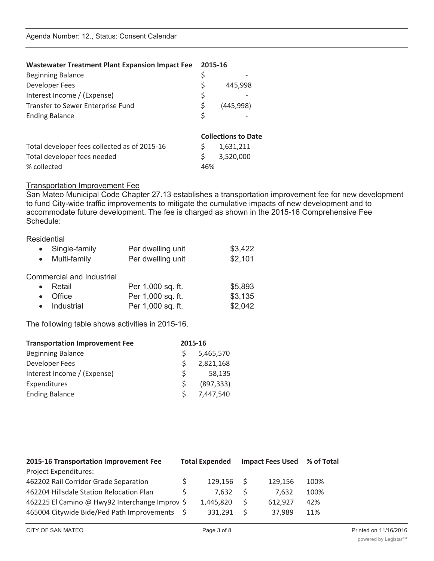| <b>Wastewater Treatment Plant Expansion Impact Fee</b> | 2015-16 |                            |
|--------------------------------------------------------|---------|----------------------------|
| <b>Beginning Balance</b>                               | \$      |                            |
| Developer Fees                                         | \$      | 445,998                    |
| Interest Income / (Expense)                            | \$      |                            |
| Transfer to Sewer Enterprise Fund                      | \$      | (445, 998)                 |
| <b>Ending Balance</b>                                  | \$      |                            |
|                                                        |         | <b>Collections to Date</b> |
| Total developer fees collected as of 2015-16           | \$      | 1,631,211                  |
| Total developer fees needed                            | \$      | 3,520,000                  |
| % collected                                            | 46%     |                            |

### Transportation Improvement Fee

San Mateo Municipal Code Chapter 27.13 establishes a transportation improvement fee for new development to fund City-wide traffic improvements to mitigate the cumulative impacts of new development and to accommodate future development. The fee is charged as shown in the 2015-16 Comprehensive Fee Schedule:

### **Residential**

|           | • Single-family<br>• Multi-family | Per dwelling unit<br>Per dwelling unit | \$3,422<br>\$2,101 |
|-----------|-----------------------------------|----------------------------------------|--------------------|
|           | <b>Commercial and Industrial</b>  |                                        |                    |
|           | Retail                            | Per 1,000 sq. ft.                      | \$5,893            |
| $\bullet$ | Office                            | Per 1,000 sq. ft.                      | \$3,135            |
|           | • Industrial                      | Per 1,000 sq. ft.                      | \$2,042            |

The following table shows activities in 2015-16.

| 5,465,570  |
|------------|
| 2,821,168  |
| 58,135     |
| (897, 333) |
| 7,447,540  |
|            |

| 2015-16 Transportation Improvement Fee         | <b>Total Expended</b> |    | <b>Impact Fees Used</b> | % of Total |
|------------------------------------------------|-----------------------|----|-------------------------|------------|
| <b>Project Expenditures:</b>                   |                       |    |                         |            |
| 462202 Rail Corridor Grade Separation          | 129.156               | -S | 129.156                 | 100%       |
| 462204 Hillsdale Station Relocation Plan       | 7.632                 | S. | 7.632                   | 100%       |
| 462225 El Camino @ Hwy92 Interchange Improv \$ | 1,445,820             | S. | 612,927                 | 42%        |
| 465004 Citywide Bide/Ped Path Improvements     | 331.291               | S. | 37,989                  | 11%        |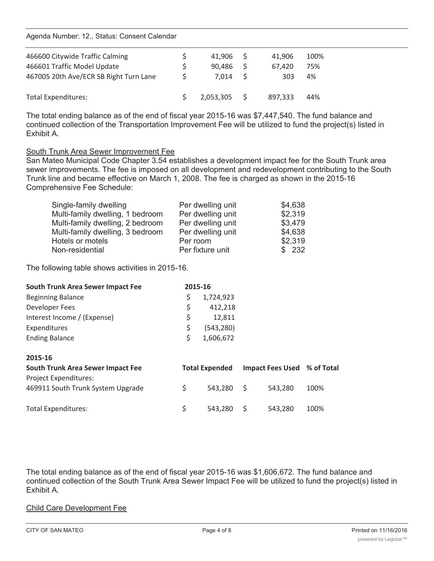Agenda Number: 12., Status: Consent Calendar

| 466600 Citywide Traffic Calming<br>466601 Traffic Model Update<br>467005 20th Ave/ECR SB Right Turn Lane | 41.906<br>90.486<br>7.014 | 41.906<br>67.420<br>303 | 100%<br>75%<br>4% |  |
|----------------------------------------------------------------------------------------------------------|---------------------------|-------------------------|-------------------|--|
| <b>Total Expenditures:</b>                                                                               | 2,053,305                 | 897.333                 | 44%               |  |

The total ending balance as of the end of fiscal year 2015-16 was \$7,447,540. The fund balance and continued collection of the Transportation Improvement Fee will be utilized to fund the project(s) listed in Exhibit A.

### South Trunk Area Sewer Improvement Fee

San Mateo Municipal Code Chapter 3.54 establishes a development impact fee for the South Trunk area sewer improvements. The fee is imposed on all development and redevelopment contributing to the South Trunk line and became effective on March 1, 2008. The fee is charged as shown in the 2015-16 Comprehensive Fee Schedule:

| Single-family dwelling           | Per dwelling unit | \$4,638 |
|----------------------------------|-------------------|---------|
| Multi-family dwelling, 1 bedroom | Per dwelling unit | \$2,319 |
| Multi-family dwelling, 2 bedroom | Per dwelling unit | \$3,479 |
| Multi-family dwelling, 3 bedroom | Per dwelling unit | \$4,638 |
| Hotels or motels                 | Per room          | \$2,319 |
| Non-residential                  | Per fixture unit  | \$232   |

The following table shows activities in 2015-16.

| <b>South Trunk Area Sewer Impact Fee</b> | 2015-16 |            |  |
|------------------------------------------|---------|------------|--|
| <b>Beginning Balance</b>                 |         | 1,724,923  |  |
| Developer Fees                           | S       | 412,218    |  |
| Interest Income / (Expense)              | S       | 12.811     |  |
| Expenditures                             |         | (543, 280) |  |
| <b>Ending Balance</b>                    |         | 1,606,672  |  |
|                                          |         |            |  |

| 2015-16                                                    |                       |                             |      |
|------------------------------------------------------------|-----------------------|-----------------------------|------|
| <b>South Trunk Area Sewer Impact Fee</b>                   | <b>Total Expended</b> | Impact Fees Used % of Total |      |
| Project Expenditures:<br>469911 South Trunk System Upgrade | 543.280 S             | 543.280                     | 100% |
| <b>Total Expenditures:</b>                                 | $543,280$ \$          | 543.280                     | 100% |

The total ending balance as of the end of fiscal year 2015-16 was \$1,606,672. The fund balance and continued collection of the South Trunk Area Sewer Impact Fee will be utilized to fund the project(s) listed in Exhibit A.

### Child Care Development Fee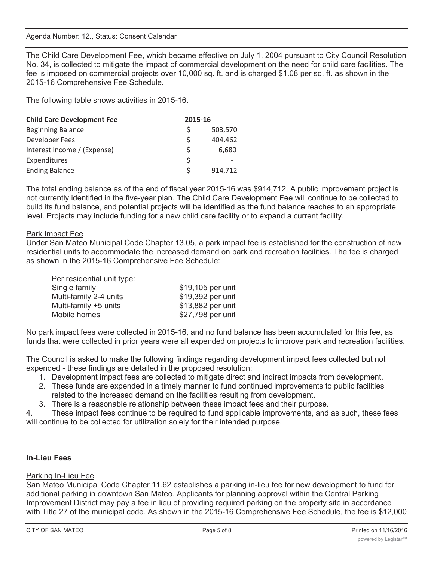The Child Care Development Fee, which became effective on July 1, 2004 pursuant to City Council Resolution No. 34, is collected to mitigate the impact of commercial development on the need for child care facilities. The fee is imposed on commercial projects over 10,000 sq. ft. and is charged \$1.08 per sq. ft. as shown in the 2015-16 Comprehensive Fee Schedule.

The following table shows activities in 2015-16.

| <b>Child Care Development Fee</b> | 2015-16      |         |
|-----------------------------------|--------------|---------|
| <b>Beginning Balance</b>          | Ŝ            | 503,570 |
| Developer Fees                    | \$           | 404,462 |
| Interest Income / (Expense)       | Ś            | 6,680   |
| Expenditures                      | Ŝ            |         |
| <b>Ending Balance</b>             | <sup>S</sup> | 914,712 |

The total ending balance as of the end of fiscal year 2015-16 was \$914,712. A public improvement project is not currently identified in the five-year plan. The Child Care Development Fee will continue to be collected to build its fund balance, and potential projects will be identified as the fund balance reaches to an appropriate level. Projects may include funding for a new child care facility or to expand a current facility.

# Park Impact Fee

Under San Mateo Municipal Code Chapter 13.05, a park impact fee is established for the construction of new residential units to accommodate the increased demand on park and recreation facilities. The fee is charged as shown in the 2015-16 Comprehensive Fee Schedule:

| Per residential unit type: |                   |
|----------------------------|-------------------|
| Single family              | \$19,105 per unit |
| Multi-family 2-4 units     | \$19,392 per unit |
| Multi-family +5 units      | \$13,882 per unit |
| Mobile homes               | \$27,798 per unit |

No park impact fees were collected in 2015-16, and no fund balance has been accumulated for this fee, as funds that were collected in prior years were all expended on projects to improve park and recreation facilities.

The Council is asked to make the following findings regarding development impact fees collected but not expended - these findings are detailed in the proposed resolution:

- 1. Development impact fees are collected to mitigate direct and indirect impacts from development.
- 2. These funds are expended in a timely manner to fund continued improvements to public facilities related to the increased demand on the facilities resulting from development.
- 3. There is a reasonable relationship between these impact fees and their purpose.

4. These impact fees continue to be required to fund applicable improvements, and as such, these fees will continue to be collected for utilization solely for their intended purpose.

# **In-Lieu Fees**

# Parking In-Lieu Fee

San Mateo Municipal Code Chapter 11.62 establishes a parking in-lieu fee for new development to fund for additional parking in downtown San Mateo. Applicants for planning approval within the Central Parking Improvement District may pay a fee in lieu of providing required parking on the property site in accordance with Title 27 of the municipal code. As shown in the 2015-16 Comprehensive Fee Schedule, the fee is \$12,000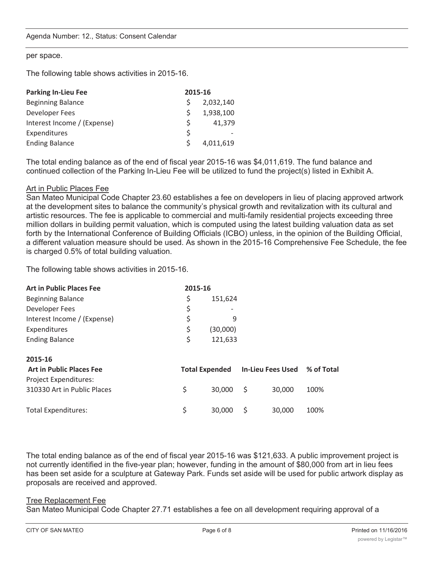#### per space.

The following table shows activities in 2015-16.

| <b>Parking In-Lieu Fee</b>  | 2015-16 |           |
|-----------------------------|---------|-----------|
| <b>Beginning Balance</b>    |         | 2,032,140 |
| Developer Fees              | S.      | 1,938,100 |
| Interest Income / (Expense) | S.      | 41,379    |
| Expenditures                | S.      |           |
| <b>Ending Balance</b>       |         | 4,011,619 |

The total ending balance as of the end of fiscal year 2015-16 was \$4,011,619. The fund balance and continued collection of the Parking In-Lieu Fee will be utilized to fund the project(s) listed in Exhibit A.

#### Art in Public Places Fee

San Mateo Municipal Code Chapter 23.60 establishes a fee on developers in lieu of placing approved artwork at the development sites to balance the community's physical growth and revitalization with its cultural and artistic resources. The fee is applicable to commercial and multi-family residential projects exceeding three million dollars in building permit valuation, which is computed using the latest building valuation data as set forth by the International Conference of Building Officials (ICBO) unless, in the opinion of the Building Official, a different valuation measure should be used. As shown in the 2015-16 Comprehensive Fee Schedule, the fee is charged 0.5% of total building valuation.

The following table shows activities in 2015-16.

| <b>Art in Public Places Fee</b> | 2015-16      |          |
|---------------------------------|--------------|----------|
| <b>Beginning Balance</b>        | S            | 151,624  |
| Developer Fees                  | S            |          |
| Interest Income / (Expense)     | <sub>S</sub> |          |
| Expenditures                    | <sup>S</sup> | (30,000) |
| <b>Ending Balance</b>           | S            | 121,633  |
|                                 |              |          |

| 2015-16                         |                       |          |  |                              |      |  |
|---------------------------------|-----------------------|----------|--|------------------------------|------|--|
| <b>Art in Public Places Fee</b> | <b>Total Expended</b> |          |  | In-Lieu Fees Used % of Total |      |  |
| Project Expenditures:           |                       |          |  |                              |      |  |
| 310330 Art in Public Places     |                       | 30.000 S |  | 30,000                       | 100% |  |
| Total Expenditures:             |                       | 30,000 S |  | 30,000                       | 100% |  |

The total ending balance as of the end of fiscal year 2015-16 was \$121,633. A public improvement project is not currently identified in the five-year plan; however, funding in the amount of \$80,000 from art in lieu fees has been set aside for a sculpture at Gateway Park. Funds set aside will be used for public artwork display as proposals are received and approved.

#### Tree Replacement Fee

San Mateo Municipal Code Chapter 27.71 establishes a fee on all development requiring approval of a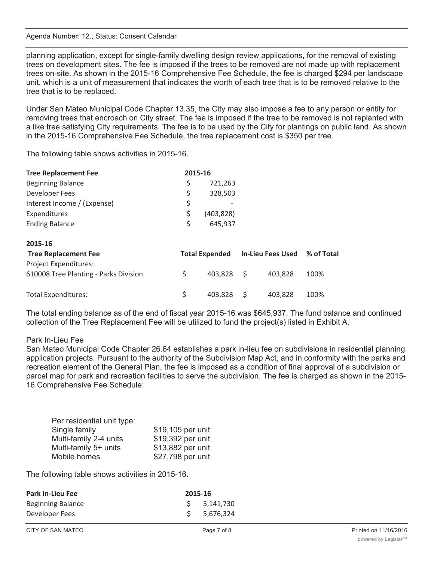#### Agenda Number: 12., Status: Consent Calendar

planning application, except for single-family dwelling design review applications, for the removal of existing trees on development sites. The fee is imposed if the trees to be removed are not made up with replacement trees on-site. As shown in the 2015-16 Comprehensive Fee Schedule, the fee is charged \$294 per landscape unit, which is a unit of measurement that indicates the worth of each tree that is to be removed relative to the tree that is to be replaced.

Under San Mateo Municipal Code Chapter 13.35, the City may also impose a fee to any person or entity for removing trees that encroach on City street. The fee is imposed if the tree to be removed is not replanted with a like tree satisfying City requirements. The fee is to be used by the City for plantings on public land. As shown in the 2015-16 Comprehensive Fee Schedule, the tree replacement cost is \$350 per tree.

The following table shows activities in 2015-16.

| <b>Tree Replacement Fee</b> | 2015-16      |            |  |
|-----------------------------|--------------|------------|--|
| <b>Beginning Balance</b>    |              | 721,263    |  |
| <b>Developer Fees</b>       | Ś            | 328,503    |  |
| Interest Income / (Expense) | \$           |            |  |
| Expenditures                | <sup>S</sup> | (403, 828) |  |
| <b>Ending Balance</b>       | <sup>S</sup> | 645,937    |  |

| 2015-16                               |    |            |  |                                             |      |
|---------------------------------------|----|------------|--|---------------------------------------------|------|
| <b>Tree Replacement Fee</b>           |    |            |  | Total Expended In-Lieu Fees Used % of Total |      |
| Project Expenditures:                 |    |            |  |                                             |      |
| 610008 Tree Planting - Parks Division | S. | 403.828 \$ |  | 403.828                                     | 100% |
| Total Expenditures:                   |    | 403.828 S  |  | 403.828                                     | 100% |

The total ending balance as of the end of fiscal year 2015-16 was \$645,937. The fund balance and continued collection of the Tree Replacement Fee will be utilized to fund the project(s) listed in Exhibit A.

### Park In-Lieu Fee

San Mateo Municipal Code Chapter 26.64 establishes a park in-lieu fee on subdivisions in residential planning application projects. Pursuant to the authority of the Subdivision Map Act, and in conformity with the parks and recreation element of the General Plan, the fee is imposed as a condition of final approval of a subdivision or parcel map for park and recreation facilities to serve the subdivision. The fee is charged as shown in the 2015- 16 Comprehensive Fee Schedule:

| Per residential unit type: |                   |
|----------------------------|-------------------|
| Single family              | \$19,105 per unit |
| Multi-family 2-4 units     | \$19,392 per unit |
| Multi-family 5+ units      | \$13,882 per unit |
| Mobile homes               | \$27,798 per unit |

The following table shows activities in 2015-16.

| <b>Park In-Lieu Fee</b>  | 2015-16 |             |  |  |
|--------------------------|---------|-------------|--|--|
| <b>Beginning Balance</b> |         | \$5,141,730 |  |  |
| Developer Fees           |         | \$5,676,324 |  |  |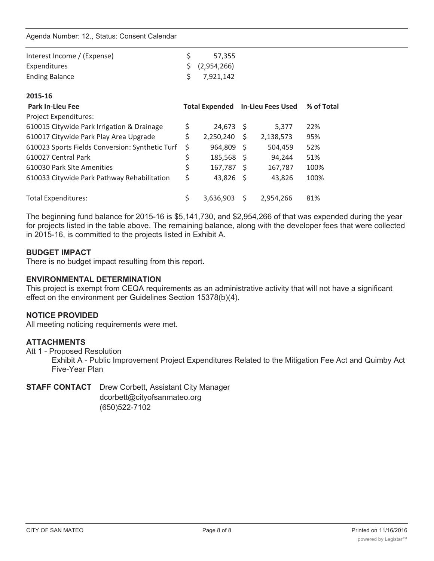Agenda Number: 12., Status: Consent Calendar

| Interest Income / (Expense)                     | \$<br>57,355                            |      |           |            |
|-------------------------------------------------|-----------------------------------------|------|-----------|------------|
| Expenditures                                    | \$<br>(2,954,266)                       |      |           |            |
| <b>Ending Balance</b>                           | \$<br>7,921,142                         |      |           |            |
| 2015-16                                         |                                         |      |           |            |
| <b>Park In-Lieu Fee</b>                         | <b>Total Expended</b> In-Lieu Fees Used |      |           | % of Total |
| <b>Project Expenditures:</b>                    |                                         |      |           |            |
| 610015 Citywide Park Irrigation & Drainage      | \$<br>24,673                            | - S  | 5,377     | 22%        |
| 610017 Citywide Park Play Area Upgrade          | \$<br>2,250,240                         | \$.  | 2,138,573 | 95%        |
| 610023 Sports Fields Conversion: Synthetic Turf | \$<br>964,809                           | - \$ | 504,459   | 52%        |
| 610027 Central Park                             | \$<br>185,568                           | - S  | 94,244    | 51%        |
| 610030 Park Site Amenities                      | \$<br>$167,787$ \$                      |      | 167,787   | 100%       |
| 610033 Citywide Park Pathway Rehabilitation     | \$<br>43,826                            | - Ś  | 43,826    | 100%       |
| <b>Total Expenditures:</b>                      | \$<br>3,636,903                         | S    | 2,954,266 | 81%        |
|                                                 |                                         |      |           |            |

The beginning fund balance for 2015-16 is \$5,141,730, and \$2,954,266 of that was expended during the year for projects listed in the table above. The remaining balance, along with the developer fees that were collected in 2015-16, is committed to the projects listed in Exhibit A.

### **BUDGET IMPACT**

There is no budget impact resulting from this report.

### **ENVIRONMENTAL DETERMINATION**

This project is exempt from CEQA requirements as an administrative activity that will not have a significant effect on the environment per Guidelines Section 15378(b)(4).

# **NOTICE PROVIDED**

All meeting noticing requirements were met.

# **ATTACHMENTS**

Att 1 - Proposed Resolution

Exhibit A - Public Improvement Project Expenditures Related to the Mitigation Fee Act and Quimby Act Five-Year Plan

# **STAFF CONTACT** Drew Corbett, Assistant City Manager

dcorbett@cityofsanmateo.org (650)522-7102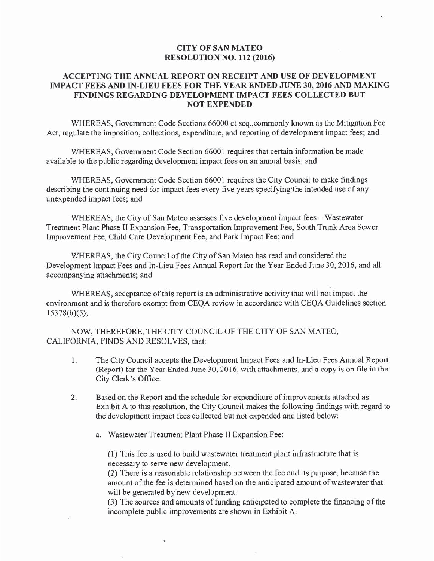# **CITY OF SAN MATEO RESOLUTION NO. 112 (2016)**

# ACCEPTING THE ANNUAL REPORT ON RECEIPT AND USE OF DEVELOPMENT IMPACT FEES AND IN-LIEU FEES FOR THE YEAR ENDED JUNE 30, 2016 AND MAKING FINDINGS REGARDING DEVELOPMENT IMPACT FEES COLLECTED BUT **NOT EXPENDED**

WHEREAS, Government Code Sections 66000 et seq., commonly known as the Mitigation Fee Act, regulate the imposition, collections, expenditure, and reporting of development impact fees; and

WHEREAS, Government Code Section 66001 requires that certain information be made available to the public regarding development impact fees on an annual basis; and

WHEREAS, Government Code Section 66001 requires the City Council to make findings describing the continuing need for impact fees every five years specifying the intended use of any unexpended impact fees; and

WHEREAS, the City of San Mateo assesses five development impact fees – Wastewater Treatment Plant Phase II Expansion Fee, Transportation Improvement Fee, South Trunk Area Sewer Improvement Fee, Child Care Development Fee, and Park Impact Fee; and

WHEREAS, the City Council of the City of San Mateo has read and considered the Development Impact Fees and In-Lieu Fees Annual Report for the Year Ended June 30, 2016, and all accompanying attachments; and

WHEREAS, acceptance of this report is an administrative activity that will not impact the environment and is therefore exempt from CEQA review in accordance with CEQA Guidelines section  $15378(b)(5);$ 

NOW, THEREFORE, THE CITY COUNCIL OF THE CITY OF SAN MATEO, CALIFORNIA, FINDS AND RESOLVES, that:

- The City Council accepts the Development Impact Fees and In-Lieu Fees Annual Report 1. (Report) for the Year Ended June 30, 2016, with attachments, and a copy is on file in the City Clerk's Office.
- $\overline{2}$ . Based on the Report and the schedule for expenditure of improvements attached as Exhibit A to this resolution, the City Council makes the following findings with regard to the development impact fees collected but not expended and listed below:
	- a. Wastewater Treatment Plant Phase II Expansion Fee:

(1) This fee is used to build was tewater treatment plant in frastructure that is necessary to serve new development.

(2) There is a reasonable relationship between the fee and its purpose, because the amount of the fee is determined based on the anticipated amount of wastewater that will be generated by new development.

(3) The sources and amounts of funding anticipated to complete the financing of the incomplete public improvements are shown in Exhibit A.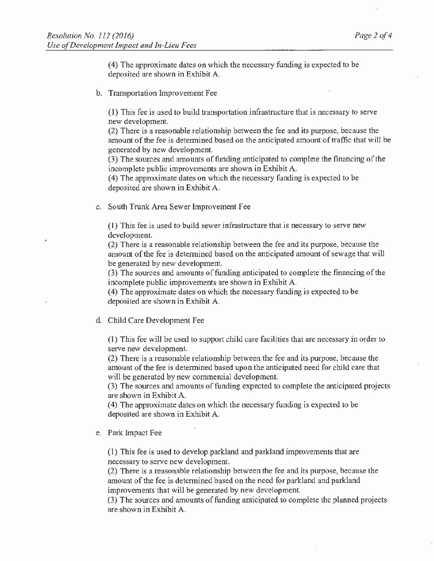(4) The approximate dates on which the necessary funding is expected to be deposited are shown in Exhibit A.

b. Transportation Improvement Fee

(1) This fee is used to build transportation infrastructure that is necessary to serve new development.

(2) There is a reasonable relationship between the fee and its purpose, because the amount of the fee is determined based on the anticipated amount of traffic that will be generated by new development.

(3) The sources and amounts of funding anticipated to complete the financing of the incomplete public improvements are shown in Exhibit A.

(4) The approximate dates on which the necessary funding is expected to be deposited are shown in Exhibit A.

c. South Trunk Area Sewer Improvement Fee

(1) This fee is used to build sewer infrastructure that is necessary to serve new development.

(2) There is a reasonable relationship between the fee and its purpose, because the amount of the fee is determined based on the anticipated amount of sewage that will be generated by new development.

(3) The sources and amounts of funding anticipated to complete the financing of the incomplete public improvements are shown in Exhibit A.

(4) The approximate dates on which the necessary funding is expected to be deposited are shown in Exhibit A.

# d. Child Care Development Fee

(1) This fee will be used to support child care facilities that are necessary in order to serve new development.

(2) There is a reasonable relationship between the fee and its purpose, because the amount of the fee is determined based upon the anticipated need for child care that will be generated by new commercial development.

(3) The sources and amounts of funding expected to complete the anticipated projects are shown in Exhibit A.

(4) The approximate dates on which the necessary funding is expected to be deposited are shown in Exhibit A.

e. Park Impact Fee

(1) This fee is used to develop parkland and parkland improvements that are necessary to serve new development.

(2) There is a reasonable relationship between the fee and its purpose, because the amount of the fee is determined based on the need for parkland and parkland improvements that will be generated by new development.

(3) The sources and amounts of funding anticipated to complete the planned projects are shown in Exhibit A.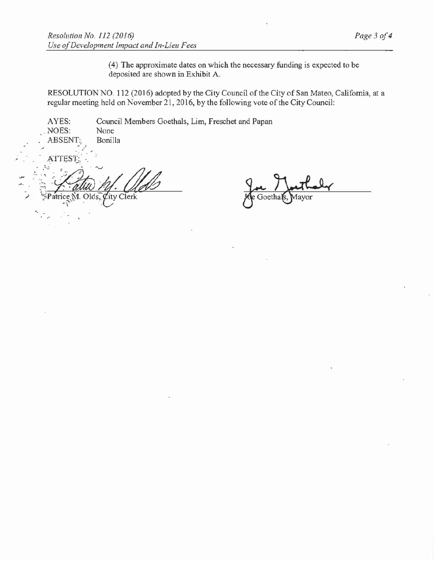(4) The approximate dates on which the necessary funding is expected to be deposited are shown in Exhibit A.

RESOLUTION NO. 112 (2016) adopted by the City Council of the City of San Mateo, California, at a regular meeting held on November 21, 2016, by the following vote of the City Council:

AYES: Council Members Goethals, Lim, Freschet and Papan NOES: None ABSENT: Bonilla ATTEST: Olds. City Clerk

foetha